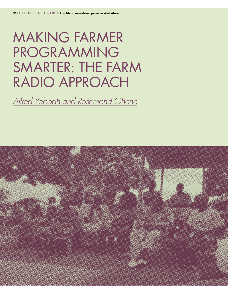# MAKING FARMER PROGRAMMING SMARTER: THE FARM RADIO APPROACH

Alfred Yeboah and Rosemond Ohene

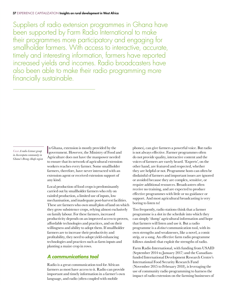Suppliers of radio extension programmes in Ghana have been supported by Farm Radio International to make their programmes more participatory and engaging for smallholder farmers. With access to interactive, accurate, timely and interesting information, farmers have reported increased yields and incomes. Radio broadcasters have also been able to make their radio programming more financially sustainable.

*Cover A radio listener group in Aworopata community in Ghana's Brong-Ahafo region* I n Ghana, extension is mostly provided by the government. However, the Ministry of Food and Agriculture does not have the manpower needed to ensure that its network of agricultural extension workers reaches every farmer. Some smallholder farmers, therefore, have never interacted with an extension agent or received extension support of any kind.

Local production of food crops is predominantly carried out by smallholder farmers who rely on rainfed production, a limited use of inputs, low mechanisation, and inadequate post-harvest facilities. These are farmers who own small plots of land on which they grow subsistence crops, relying almost exclusively on family labour. For these farmers, increased productivity depends on an improved access to proven, afordable technologies and practices, and on their willingness and ability to adopt them. If smallholder farmers are to increase their productivity and profitability, they need to adopt yield-enhancing technologies and practices such as farm inputs and planting a maize crop in rows.

### **A communications tool**

Radio is a great communication tool for African farmers as most have access to it. Radio can provide important and timely information in a farmer's own language, and radio (often coupled with mobile

phones), can give farmers a powerful voice. But radio is not always efective. Farmer programmes often do not provide quality, interactive content and the voices of farmers are rarely heard. 'Experts', on the other hand, are featured and respected, whether they are helpful or not. Programme hosts can often be disdainful of farmers and important issues are ignored or avoided because they are complex, sensitive, or require additional resources. Broadcasters often receive no training, and are expected to produce efective programmes with little or no guidance or support. And most agricultural broadcasting is very boring to listen to!

Too frequently, radio stations think that a farmer programme is a slot in the schedule into which they can simply 'dump' agricultural information and hope that farmers will listen and use it. But a radio programme is a *distinct* communication tool, with its own strengths and weaknesses, like a novel, a comic strip, or a song. An efective farm radio programme follows *standards* that exploit the strengths of radio.

Farm Radio International, with funding from USAID (September 2014 to January 2017) and the Canadianfunded International Development Research Centre's International Food Security Research Fund (November 2015 to February 2018), is leveraging the use of community radio programming to harness the impact of radio extension on the farming businesses of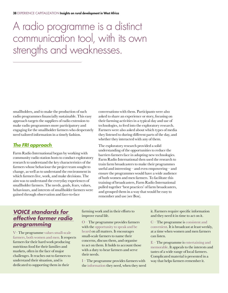# A radio programme is a distinct communication tool, with its own strengths and weaknesses.

smallholders, and to make the production of such radio programmes financially sustainable. This easy approach targets the suppliers of radio extension to make radio programmes more participatory and engaging for the smallholder farmers who desperately need tailored information in a timely fashion.

#### **The FRI approach**

Farm Radio International began by working with community radio station hosts to conduct exploratory research to understand the key characteristics of the farmers whose behaviour the project team sought to change, as well as to understand the environment in which farmers live, work, and make decisions. The aim was to understand the everyday experiences of smallholder farmers. The needs, goals, fears, values, behaviours, and interests of smallholder farmers were gained through observation and face-to-face

conversations with them. Participants were also asked to share an experience or story, focusing on their farming activities in a typical day and use of technologies, to feed into the exploratory research. Farmers were also asked about which types of media they listened to during diferent parts of the day, and whether they interacted with any of them.

The exploratory research provided a solid understanding of the opportunities to reduce the barriers farmers face in adopting new technologies. Farm Radio International then used the research to train farm broadcasters to make their programmes useful and interesting – and even empowering – and ensure the programmes would have a wide audience of both women and men farmers. To facilitate this training of broadcasters, Farm Radio International pulled together 'best practices' of farm broadcasters, and grouped them in a way that would be easy to remember and use (see Box).

# **VOICE standards for effective farmer radio programming**

V– The programme values small-scale farmers, both women and men. It respects farmers for their hard work producing nutritious food for their families and markets, often in the face of major challenges. It reaches out to farmers to understand their situation, and is dedicated to supporting them in their

farming work and in their efforts to improve rural life.

O – The programme provides farmers with the opportunity to speak and be heard on all matters. It encourages small-scale farmers to name their concerns, discuss them, and organise to act on them. It holds to account those with a duty to hear farmers and serve their needs.

I – The programme provides farmers with the information they need, when they need it. Farmers require specific information and they need it in time to act on it.

 $C$  – The programme is consistent and convenient. It is broadcast at least weekly, at a time when women and men farmers can listen.

 $E$  – The programme is entertaining and memorable. It appeals to the interests and tastes of a wide range of local farmers. Complicated material is presented in a way that helps farmers remember it.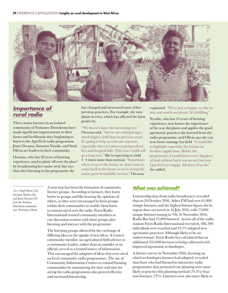

# **Importance of rural radio**

Three maize farmers in an isolated community of Nsokonee Dentekrom have made significant improvements to their farms and livelihoods since beginning to listen to the AgroTech radio programme. Jenet Owusua, Susanna Nyarko, and Saah Olivia are leaders in their community.

Owusua, who has 20 years of farming experience, used to plant 'all over the place' by broadcasting her maize seed, but says that after listening to the programme she

has changed and structured some of her previous practices. For example, she now plants in rows, which has afected the farm positively.

"We haven't done the harvesting yet," Owusua said, "but we are anticipating a much higher yield than in previous years. It's going to help us with our expenses, especially when it comes to paying school fees and hospital bills. This year's yield will go a long way." She is expecting to yield 3–4 times more than normal. "Sometimes when we go to the farms, we don't want to come back to the house as we're seeing the maize grow beautifully in rows," Owusua

explained. "We're just so happy, we like to stay and watch our plants. It's fulfilling."

Nyarko, who has 25 years of farming experience, now knows the importance of the way she plants and applies the good agronomic practices she learned from the radio programme, and Olivia says she can now better manage her field. "I would like to highlight especially the lessons on fertiliser application. Before the programme, I would farm a very big piece of land without but it was no use; but now I just feel very happy. All three of us do," she added.

*Above Saah Olivia (32), Susuana Nyarko (56), and Jenet Owusua (41) from the Nsokonee Dentekrom community near Techiman, Ghana*

A next step has been the formation of community listener groups. According to farmers, they learn better in groups and like hearing the opinions of others, so they were encouraged to form groups within their communities to enable them listen to content aired over the radio. Farm Radio International trained community members to run discussion sessions with these groups after listening and interact with the programme.

The listening groups allowed for the exchange of difering ideas in the uptake of new ideas. A trusted community member (an agricultural field advisor or a community leader), rather than an outsider or an official, served as a trusted source of information. This encouraged the adoption of ideas that were aired on local community radio programmes. The use of Community Information Centres to remind farming communities by announcing the days and time for airing the radio programmes also proved efective and increased listenership.

#### **What was achieved?**

Listenership data from radio broadcasters revealed that on 24 October 2016, Adars FM had over 61,000 unique listeners, and the highest listener figures for its repeat show occurred on 10 July 2016, with 77,000 unique listeners tuning in. On 16 November 2016, Radio Bar had 73,000 listeners. Across all of the radio stations Farm Radio International recruited, 486,390 individuals were reached and 22.1% adopted new agronomic practices. Although likely to be an underestimate, Farm Radio has calculated that an additional 535,000 hectares is being cultivated with improved agronomic technologies.

A listener survey in November 2016, focusing on which technologies farmers had adopted, revealed that those who had listened to interactive radio programmes that promoted row planting were more likely to practice this planting method (79.5%) than non-listeners (73%). Listeners were also more likely to